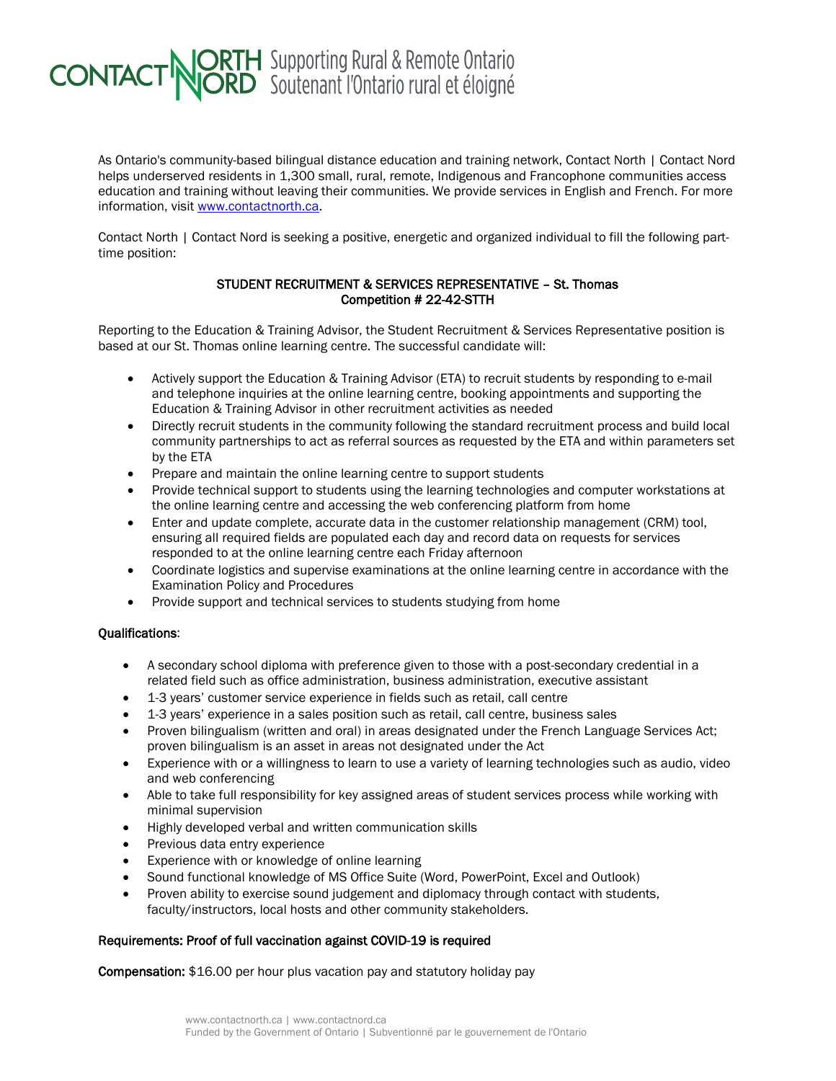## **CONTACT NORTH** Supporting Rural & Remote Ontario

As Ontario's community-based bilingual distance education and training network, Contact North | Contact Nord helps underserved residents in 1,300 small, rural, remote, Indigenous and Francophone communities access education and training without leaving their communities. We provide services in English and French. For more information, visit [www.contactnorth.ca.](http://www.contactnorth.ca/)

Contact North | Contact Nord is seeking a positive, energetic and organized individual to fill the following parttime position:

## STUDENT RECRUITMENT & SERVICES REPRESENTATIVE – St. Thomas Competition # 22-42-STTH

Reporting to the Education & Training Advisor, the Student Recruitment & Services Representative position is based at our St. Thomas online learning centre. The successful candidate will:

- Actively support the Education & Training Advisor (ETA) to recruit students by responding to e-mail and telephone inquiries at the online learning centre, booking appointments and supporting the Education & Training Advisor in other recruitment activities as needed
- Directly recruit students in the community following the standard recruitment process and build local community partnerships to act as referral sources as requested by the ETA and within parameters set by the ETA
- Prepare and maintain the online learning centre to support students
- Provide technical support to students using the learning technologies and computer workstations at the online learning centre and accessing the web conferencing platform from home
- Enter and update complete, accurate data in the customer relationship management (CRM) tool. ensuring all required fields are populated each day and record data on requests for services responded to at the online learning centre each Friday afternoon
- Coordinate logistics and supervise examinations at the online learning centre in accordance with the Examination Policy and Procedures
- Provide support and technical services to students studying from home

## Qualifications:

- A secondary school diploma with preference given to those with a post-secondary credential in a related field such as office administration, business administration, executive assistant
- 1-3 years' customer service experience in fields such as retail, call centre
- 1-3 years' experience in a sales position such as retail, call centre, business sales
- Proven bilingualism (written and oral) in areas designated under the French Language Services Act; proven bilingualism is an asset in areas not designated under the Act
- Experience with or a willingness to learn to use a variety of learning technologies such as audio, video and web conferencing
- Able to take full responsibility for key assigned areas of student services process while working with minimal supervision
- Highly developed verbal and written communication skills
- Previous data entry experience
- Experience with or knowledge of online learning
- Sound functional knowledge of MS Office Suite (Word, PowerPoint, Excel and Outlook)
- Proven ability to exercise sound judgement and diplomacy through contact with students, faculty/instructors, local hosts and other community stakeholders.

## Requirements: Proof of full vaccination against COVID-19 is required

Compensation: \$16.00 per hour plus vacation pay and statutory holiday pay